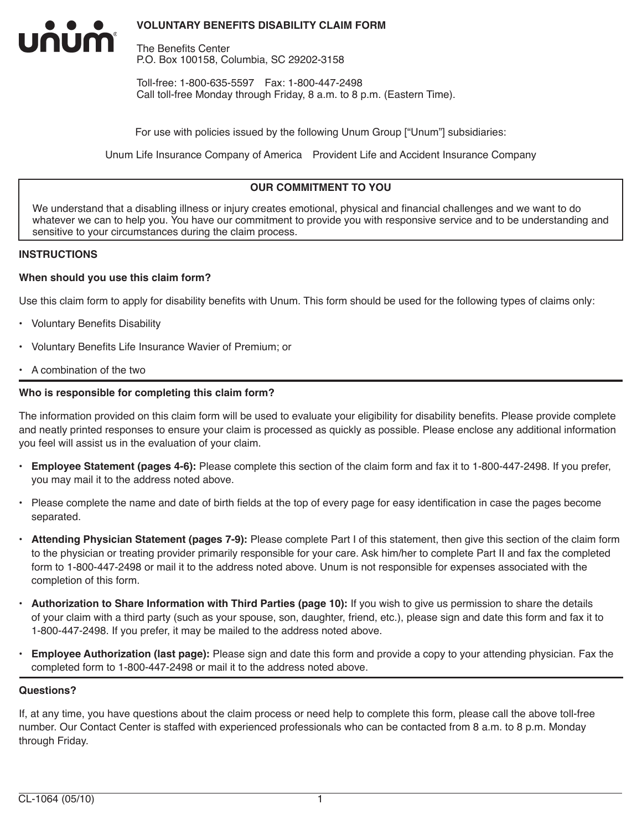### **VOLUNTARY BENEFITS DISABILITY CLAIM FORM**

The Benefits Center P.O. Box 100158, Columbia, SC 29202-3158

Toll-free: 1-800-635-5597 Fax: 1-800-447-2498 Call toll-free Monday through Friday, 8 a.m. to 8 p.m. (Eastern Time).

For use with policies issued by the following Unum Group ["Unum"] subsidiaries:

Unum Life Insurance Company of America Provident Life and Accident Insurance Company

## **OUR COMMITMENT TO YOU**

We understand that a disabling illness or injury creates emotional, physical and financial challenges and we want to do whatever we can to help you. You have our commitment to provide you with responsive service and to be understanding and sensitive to your circumstances during the claim process.

#### **INSTRUCTIONS**

INUM

#### **When should you use this claim form?**

Use this claim form to apply for disability benefits with Unum. This form should be used for the following types of claims only:

- Voluntary Benefits Disability
- Voluntary Benefits Life Insurance Wavier of Premium; or
- A combination of the two

#### **Who is responsible for completing this claim form?**

The information provided on this claim form will be used to evaluate your eligibility for disability benefits. Please provide complete and neatly printed responses to ensure your claim is processed as quickly as possible. Please enclose any additional information you feel will assist us in the evaluation of your claim.

- **Employee Statement (pages 4-6):** Please complete this section of the claim form and fax it to 1-800-447-2498. If you prefer, you may mail it to the address noted above.
- Please complete the name and date of birth fields at the top of every page for easy identification in case the pages become separated.
- **Attending Physician Statement (pages 7-9):** Please complete Part I of this statement, then give this section of the claim form to the physician or treating provider primarily responsible for your care. Ask him/her to complete Part II and fax the completed form to 1-800-447-2498 or mail it to the address noted above. Unum is not responsible for expenses associated with the completion of this form.
- **Authorization to Share Information with Third Parties (page 10):** If you wish to give us permission to share the details of your claim with a third party (such as your spouse, son, daughter, friend, etc.), please sign and date this form and fax it to 1-800-447-2498. If you prefer, it may be mailed to the address noted above.
- **Employee Authorization (last page):** Please sign and date this form and provide a copy to your attending physician. Fax the completed form to 1-800-447-2498 or mail it to the address noted above.

#### **Questions?**

If, at any time, you have questions about the claim process or need help to complete this form, please call the above toll-free number. Our Contact Center is staffed with experienced professionals who can be contacted from 8 a.m. to 8 p.m. Monday through Friday.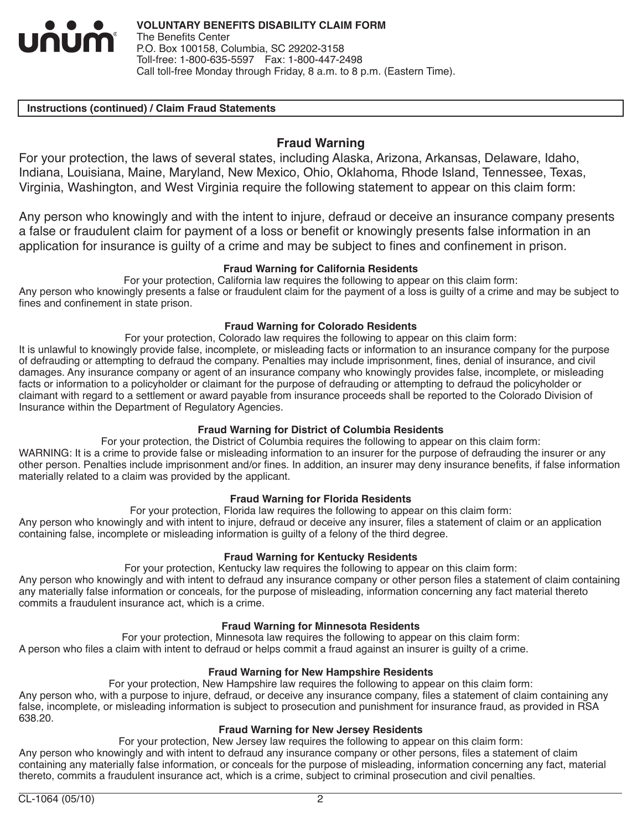

#### **Instructions (continued) / Claim Fraud Statements**

## **Fraud Warning**

For your protection, the laws of several states, including Alaska, Arizona, Arkansas, Delaware, Idaho, Indiana, Louisiana, Maine, Maryland, New Mexico, Ohio, Oklahoma, Rhode Island, Tennessee, Texas, Virginia, Washington, and West Virginia require the following statement to appear on this claim form:

Any person who knowingly and with the intent to injure, defraud or deceive an insurance company presents a false or fraudulent claim for payment of a loss or benefit or knowingly presents false information in an application for insurance is guilty of a crime and may be subject to fines and confinement in prison.

### **Fraud Warning for California Residents**

For your protection, California law requires the following to appear on this claim form: Any person who knowingly presents a false or fraudulent claim for the payment of a loss is guilty of a crime and may be subject to fines and confinement in state prison.

### **Fraud Warning for Colorado Residents**

For your protection, Colorado law requires the following to appear on this claim form: It is unlawful to knowingly provide false, incomplete, or misleading facts or information to an insurance company for the purpose of defrauding or attempting to defraud the company. Penalties may include imprisonment, fines, denial of insurance, and civil damages. Any insurance company or agent of an insurance company who knowingly provides false, incomplete, or misleading facts or information to a policyholder or claimant for the purpose of defrauding or attempting to defraud the policyholder or claimant with regard to a settlement or award payable from insurance proceeds shall be reported to the Colorado Division of Insurance within the Department of Regulatory Agencies.

## **Fraud Warning for District of Columbia Residents**

For your protection, the District of Columbia requires the following to appear on this claim form: WARNING: It is a crime to provide false or misleading information to an insurer for the purpose of defrauding the insurer or any other person. Penalties include imprisonment and/or fines. In addition, an insurer may deny insurance benefits, if false information materially related to a claim was provided by the applicant.

#### **Fraud Warning for Florida Residents**

For your protection, Florida law requires the following to appear on this claim form: Any person who knowingly and with intent to injure, defraud or deceive any insurer, files a statement of claim or an application containing false, incomplete or misleading information is guilty of a felony of the third degree.

## **Fraud Warning for Kentucky Residents**

For your protection, Kentucky law requires the following to appear on this claim form:

Any person who knowingly and with intent to defraud any insurance company or other person files a statement of claim containing any materially false information or conceals, for the purpose of misleading, information concerning any fact material thereto commits a fraudulent insurance act, which is a crime.

#### **Fraud Warning for Minnesota Residents**

For your protection, Minnesota law requires the following to appear on this claim form: A person who files a claim with intent to defraud or helps commit a fraud against an insurer is guilty of a crime.

#### **Fraud Warning for New Hampshire Residents**

For your protection, New Hampshire law requires the following to appear on this claim form:

Any person who, with a purpose to injure, defraud, or deceive any insurance company, files a statement of claim containing any false, incomplete, or misleading information is subject to prosecution and punishment for insurance fraud, as provided in RSA 638.20.

#### **Fraud Warning for New Jersey Residents**

For your protection, New Jersey law requires the following to appear on this claim form: Any person who knowingly and with intent to defraud any insurance company or other persons, files a statement of claim containing any materially false information, or conceals for the purpose of misleading, information concerning any fact, material thereto, commits a fraudulent insurance act, which is a crime, subject to criminal prosecution and civil penalties.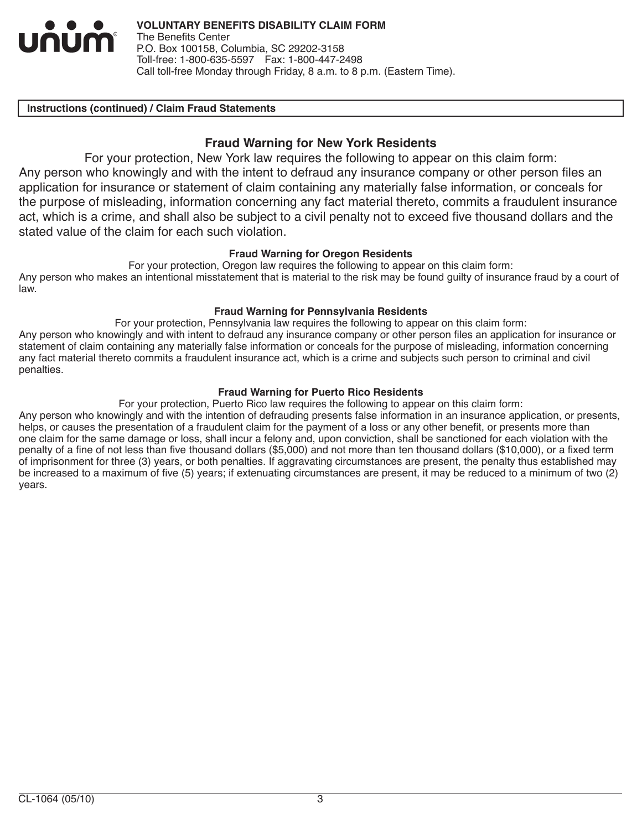

#### **Instructions (continued) / Claim Fraud Statements**

## **Fraud Warning for New York Residents**

For your protection, New York law requires the following to appear on this claim form: Any person who knowingly and with the intent to defraud any insurance company or other person files an application for insurance or statement of claim containing any materially false information, or conceals for the purpose of misleading, information concerning any fact material thereto, commits a fraudulent insurance act, which is a crime, and shall also be subject to a civil penalty not to exceed five thousand dollars and the stated value of the claim for each such violation.

#### **Fraud Warning for Oregon Residents**

For your protection, Oregon law requires the following to appear on this claim form: Any person who makes an intentional misstatement that is material to the risk may be found guilty of insurance fraud by a court of law.

#### **Fraud Warning for Pennsylvania Residents**

For your protection, Pennsylvania law requires the following to appear on this claim form: Any person who knowingly and with intent to defraud any insurance company or other person files an application for insurance or statement of claim containing any materially false information or conceals for the purpose of misleading, information concerning any fact material thereto commits a fraudulent insurance act, which is a crime and subjects such person to criminal and civil penalties.

### **Fraud Warning for Puerto Rico Residents**

For your protection, Puerto Rico law requires the following to appear on this claim form:

Any person who knowingly and with the intention of defrauding presents false information in an insurance application, or presents, helps, or causes the presentation of a fraudulent claim for the payment of a loss or any other benefit, or presents more than one claim for the same damage or loss, shall incur a felony and, upon conviction, shall be sanctioned for each violation with the penalty of a fine of not less than five thousand dollars (\$5,000) and not more than ten thousand dollars (\$10,000), or a fixed term of imprisonment for three (3) years, or both penalties. If aggravating circumstances are present, the penalty thus established may be increased to a maximum of five (5) years; if extenuating circumstances are present, it may be reduced to a minimum of two (2) years.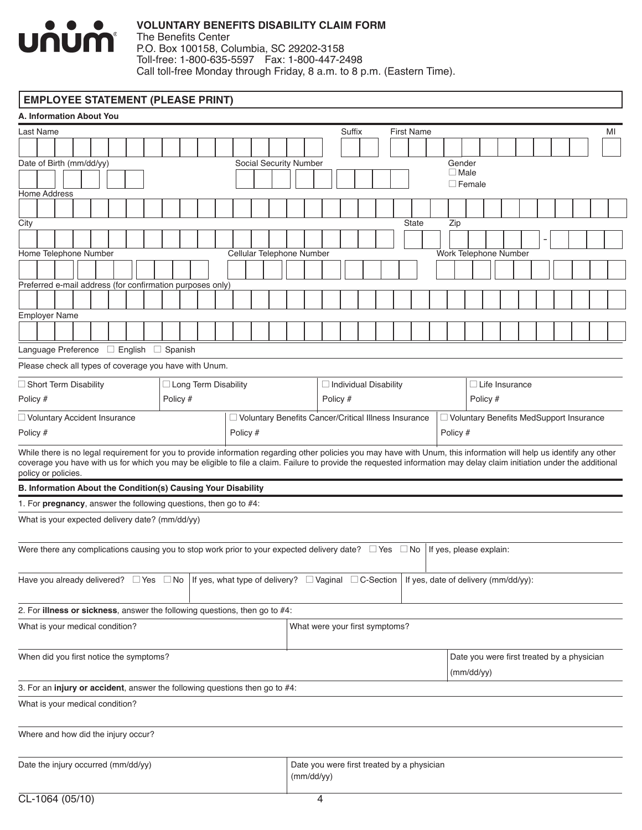

# **VOLUNTARY BENEFITS DISABILITY CLAIM FORM**

The Benefits Center P.O. Box 100158, Columbia, SC 29202-3158 Toll-free: 1-800-635-5597 Fax: 1-800-447-2498 Call toll-free Monday through Friday, 8 a.m. to 8 p.m. (Eastern Time).

# **EMPLOYEE STATEMENT (PLEASE PRINT)**

| <b>A. Information About You</b>                                                                                                                                                                                                                                                                                                                                      |  |  |  |  |          |  |                        |          |                                                        |  |            |          |        |                                |  |                                            |                         |               |          |                       |  |  |                                            |    |
|----------------------------------------------------------------------------------------------------------------------------------------------------------------------------------------------------------------------------------------------------------------------------------------------------------------------------------------------------------------------|--|--|--|--|----------|--|------------------------|----------|--------------------------------------------------------|--|------------|----------|--------|--------------------------------|--|--------------------------------------------|-------------------------|---------------|----------|-----------------------|--|--|--------------------------------------------|----|
| Last Name                                                                                                                                                                                                                                                                                                                                                            |  |  |  |  |          |  |                        |          |                                                        |  |            |          | Suffix |                                |  | <b>First Name</b>                          |                         |               |          |                       |  |  |                                            | MI |
|                                                                                                                                                                                                                                                                                                                                                                      |  |  |  |  |          |  |                        |          |                                                        |  |            |          |        |                                |  |                                            |                         |               |          |                       |  |  |                                            |    |
| Date of Birth (mm/dd/yy)                                                                                                                                                                                                                                                                                                                                             |  |  |  |  |          |  |                        |          | Social Security Number                                 |  |            |          |        |                                |  |                                            | Gender                  |               |          |                       |  |  |                                            |    |
|                                                                                                                                                                                                                                                                                                                                                                      |  |  |  |  |          |  |                        |          |                                                        |  |            |          |        |                                |  |                                            | $\square$ Male          | $\Box$ Female |          |                       |  |  |                                            |    |
| Home Address                                                                                                                                                                                                                                                                                                                                                         |  |  |  |  |          |  |                        |          |                                                        |  |            |          |        |                                |  |                                            |                         |               |          |                       |  |  |                                            |    |
|                                                                                                                                                                                                                                                                                                                                                                      |  |  |  |  |          |  |                        |          |                                                        |  |            |          |        |                                |  |                                            |                         |               |          |                       |  |  |                                            |    |
| City                                                                                                                                                                                                                                                                                                                                                                 |  |  |  |  |          |  |                        |          |                                                        |  |            |          |        |                                |  | State                                      | Zip                     |               |          |                       |  |  |                                            |    |
|                                                                                                                                                                                                                                                                                                                                                                      |  |  |  |  |          |  |                        |          |                                                        |  |            |          |        |                                |  |                                            |                         |               |          |                       |  |  |                                            |    |
| Home Telephone Number                                                                                                                                                                                                                                                                                                                                                |  |  |  |  |          |  |                        |          | Cellular Telephone Number                              |  |            |          |        |                                |  |                                            | Work Telephone Number   |               |          |                       |  |  |                                            |    |
|                                                                                                                                                                                                                                                                                                                                                                      |  |  |  |  |          |  |                        |          |                                                        |  |            |          |        |                                |  |                                            |                         |               |          |                       |  |  |                                            |    |
| Preferred e-mail address (for confirmation purposes only)                                                                                                                                                                                                                                                                                                            |  |  |  |  |          |  |                        |          |                                                        |  |            |          |        |                                |  |                                            |                         |               |          |                       |  |  |                                            |    |
|                                                                                                                                                                                                                                                                                                                                                                      |  |  |  |  |          |  |                        |          |                                                        |  |            |          |        |                                |  |                                            |                         |               |          |                       |  |  |                                            |    |
| <b>Employer Name</b>                                                                                                                                                                                                                                                                                                                                                 |  |  |  |  |          |  |                        |          |                                                        |  |            |          |        |                                |  |                                            |                         |               |          |                       |  |  |                                            |    |
|                                                                                                                                                                                                                                                                                                                                                                      |  |  |  |  |          |  |                        |          |                                                        |  |            |          |        |                                |  |                                            |                         |               |          |                       |  |  |                                            |    |
| Language Preference □ English □ Spanish                                                                                                                                                                                                                                                                                                                              |  |  |  |  |          |  |                        |          |                                                        |  |            |          |        |                                |  |                                            |                         |               |          |                       |  |  |                                            |    |
| Please check all types of coverage you have with Unum.                                                                                                                                                                                                                                                                                                               |  |  |  |  |          |  |                        |          |                                                        |  |            |          |        |                                |  |                                            |                         |               |          |                       |  |  |                                            |    |
|                                                                                                                                                                                                                                                                                                                                                                      |  |  |  |  |          |  |                        |          |                                                        |  |            |          |        |                                |  |                                            |                         |               |          |                       |  |  |                                            |    |
| $\Box$ Short Term Disability<br>Policy #                                                                                                                                                                                                                                                                                                                             |  |  |  |  |          |  | □ Long Term Disability |          |                                                        |  |            |          |        | $\Box$ Individual Disability   |  |                                            |                         |               | Policy # | $\Box$ Life Insurance |  |  |                                            |    |
|                                                                                                                                                                                                                                                                                                                                                                      |  |  |  |  | Policy # |  |                        |          |                                                        |  |            | Policy # |        |                                |  |                                            |                         |               |          |                       |  |  |                                            |    |
| □ Voluntary Accident Insurance                                                                                                                                                                                                                                                                                                                                       |  |  |  |  |          |  |                        |          | □ Voluntary Benefits Cancer/Critical Illness Insurance |  |            |          |        |                                |  |                                            |                         |               |          |                       |  |  | □ Voluntary Benefits MedSupport Insurance  |    |
| Policy #                                                                                                                                                                                                                                                                                                                                                             |  |  |  |  |          |  |                        | Policy # |                                                        |  |            |          |        |                                |  |                                            | Policy #                |               |          |                       |  |  |                                            |    |
| While there is no legal requirement for you to provide information regarding other policies you may have with Unum, this information will help us identify any other<br>coverage you have with us for which you may be eligible to file a claim. Failure to provide the requested information may delay claim initiation under the additional<br>policy or policies. |  |  |  |  |          |  |                        |          |                                                        |  |            |          |        |                                |  |                                            |                         |               |          |                       |  |  |                                            |    |
| B. Information About the Condition(s) Causing Your Disability                                                                                                                                                                                                                                                                                                        |  |  |  |  |          |  |                        |          |                                                        |  |            |          |        |                                |  |                                            |                         |               |          |                       |  |  |                                            |    |
| 1. For <b>pregnancy</b> , answer the following questions, then go to $#4$ :                                                                                                                                                                                                                                                                                          |  |  |  |  |          |  |                        |          |                                                        |  |            |          |        |                                |  |                                            |                         |               |          |                       |  |  |                                            |    |
| What is your expected delivery date? (mm/dd/yy)                                                                                                                                                                                                                                                                                                                      |  |  |  |  |          |  |                        |          |                                                        |  |            |          |        |                                |  |                                            |                         |               |          |                       |  |  |                                            |    |
| Were there any complications causing you to stop work prior to your expected delivery date? $\Box$ Yes $\Box$ No                                                                                                                                                                                                                                                     |  |  |  |  |          |  |                        |          |                                                        |  |            |          |        |                                |  |                                            | If yes, please explain: |               |          |                       |  |  |                                            |    |
|                                                                                                                                                                                                                                                                                                                                                                      |  |  |  |  |          |  |                        |          |                                                        |  |            |          |        |                                |  |                                            |                         |               |          |                       |  |  |                                            |    |
| Have you already delivered? $\;\;\Box$ Yes $\;\;\Box$ No $\;$ If yes, what type of delivery? $\;\;\Box$ Vaginal $\;\;\Box$ C-Section $\;$ If yes, date of delivery (mm/dd/yy):                                                                                                                                                                                       |  |  |  |  |          |  |                        |          |                                                        |  |            |          |        |                                |  |                                            |                         |               |          |                       |  |  |                                            |    |
| 2. For illness or sickness, answer the following questions, then go to #4:                                                                                                                                                                                                                                                                                           |  |  |  |  |          |  |                        |          |                                                        |  |            |          |        |                                |  |                                            |                         |               |          |                       |  |  |                                            |    |
| What is your medical condition?                                                                                                                                                                                                                                                                                                                                      |  |  |  |  |          |  |                        |          |                                                        |  |            |          |        | What were your first symptoms? |  |                                            |                         |               |          |                       |  |  |                                            |    |
| When did you first notice the symptoms?                                                                                                                                                                                                                                                                                                                              |  |  |  |  |          |  |                        |          |                                                        |  |            |          |        |                                |  |                                            |                         |               |          |                       |  |  | Date you were first treated by a physician |    |
|                                                                                                                                                                                                                                                                                                                                                                      |  |  |  |  |          |  |                        |          |                                                        |  |            |          |        |                                |  |                                            |                         | (mm/dd/yy)    |          |                       |  |  |                                            |    |
| 3. For an injury or accident, answer the following questions then go to #4:                                                                                                                                                                                                                                                                                          |  |  |  |  |          |  |                        |          |                                                        |  |            |          |        |                                |  |                                            |                         |               |          |                       |  |  |                                            |    |
| What is your medical condition?                                                                                                                                                                                                                                                                                                                                      |  |  |  |  |          |  |                        |          |                                                        |  |            |          |        |                                |  |                                            |                         |               |          |                       |  |  |                                            |    |
|                                                                                                                                                                                                                                                                                                                                                                      |  |  |  |  |          |  |                        |          |                                                        |  |            |          |        |                                |  |                                            |                         |               |          |                       |  |  |                                            |    |
| Where and how did the injury occur?                                                                                                                                                                                                                                                                                                                                  |  |  |  |  |          |  |                        |          |                                                        |  |            |          |        |                                |  |                                            |                         |               |          |                       |  |  |                                            |    |
| Date the injury occurred (mm/dd/yy)                                                                                                                                                                                                                                                                                                                                  |  |  |  |  |          |  |                        |          |                                                        |  |            |          |        |                                |  | Date you were first treated by a physician |                         |               |          |                       |  |  |                                            |    |
|                                                                                                                                                                                                                                                                                                                                                                      |  |  |  |  |          |  |                        |          |                                                        |  | (mm/dd/yy) |          |        |                                |  |                                            |                         |               |          |                       |  |  |                                            |    |
| $CI - 1064 (05/10)$                                                                                                                                                                                                                                                                                                                                                  |  |  |  |  |          |  |                        |          |                                                        |  | 4          |          |        |                                |  |                                            |                         |               |          |                       |  |  |                                            |    |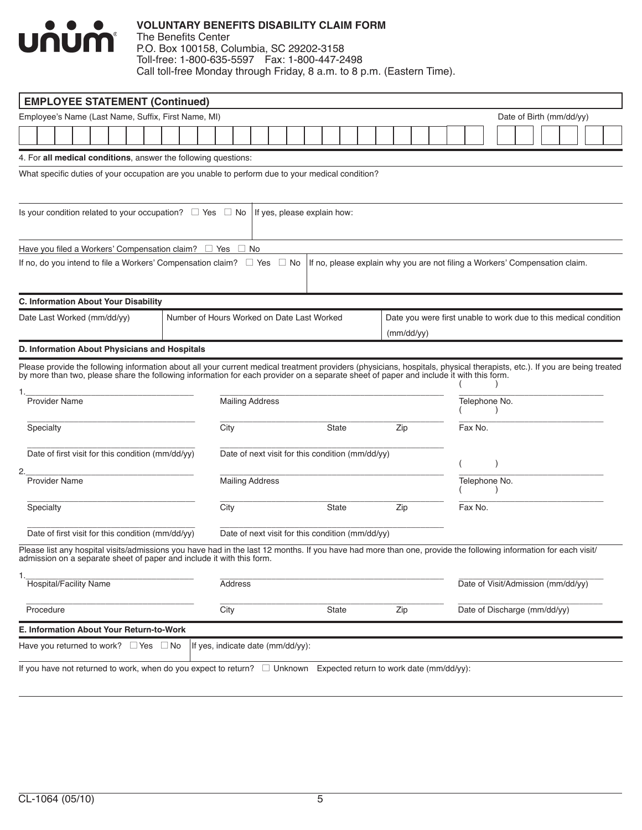

### **VOLUNTARY BENEFITS DISABILITY CLAIM FORM** The Benefits Center

P.O. Box 100158, Columbia, SC 29202-3158 Toll-free: 1-800-635-5597 Fax: 1-800-447-2498 Call toll-free Monday through Friday, 8 a.m. to 8 p.m. (Eastern Time).

| <b>EMPLOYEE STATEMENT (Continued)</b>                                                                                                                                                                                                                                                                                                      |                                            |                                                  |                                                  |           |       |                                                                             |            |  |               |  |                                    |  |                                                                  |
|--------------------------------------------------------------------------------------------------------------------------------------------------------------------------------------------------------------------------------------------------------------------------------------------------------------------------------------------|--------------------------------------------|--------------------------------------------------|--------------------------------------------------|-----------|-------|-----------------------------------------------------------------------------|------------|--|---------------|--|------------------------------------|--|------------------------------------------------------------------|
| Employee's Name (Last Name, Suffix, First Name, MI)                                                                                                                                                                                                                                                                                        |                                            |                                                  |                                                  |           |       |                                                                             |            |  |               |  | Date of Birth (mm/dd/yy)           |  |                                                                  |
|                                                                                                                                                                                                                                                                                                                                            |                                            |                                                  |                                                  |           |       |                                                                             |            |  |               |  |                                    |  |                                                                  |
| 4. For all medical conditions, answer the following questions:                                                                                                                                                                                                                                                                             |                                            |                                                  |                                                  |           |       |                                                                             |            |  |               |  |                                    |  |                                                                  |
| What specific duties of your occupation are you unable to perform due to your medical condition?                                                                                                                                                                                                                                           |                                            |                                                  |                                                  |           |       |                                                                             |            |  |               |  |                                    |  |                                                                  |
| Is your condition related to your occupation? $\Box$ Yes $\Box$ No                                                                                                                                                                                                                                                                         |                                            |                                                  | If yes, please explain how:                      |           |       |                                                                             |            |  |               |  |                                    |  |                                                                  |
| Have you filed a Workers' Compensation claim? $\quad \sqcup$ Yes $\quad \sqcup$ No                                                                                                                                                                                                                                                         |                                            |                                                  |                                                  |           |       |                                                                             |            |  |               |  |                                    |  |                                                                  |
| If no, do you intend to file a Workers' Compensation claim? $\square$ Yes                                                                                                                                                                                                                                                                  |                                            |                                                  |                                                  | $\Box$ No |       | If no, please explain why you are not filing a Workers' Compensation claim. |            |  |               |  |                                    |  |                                                                  |
| C. Information About Your Disability                                                                                                                                                                                                                                                                                                       |                                            |                                                  |                                                  |           |       |                                                                             |            |  |               |  |                                    |  |                                                                  |
| Date Last Worked (mm/dd/yy)                                                                                                                                                                                                                                                                                                                | Number of Hours Worked on Date Last Worked |                                                  |                                                  |           |       |                                                                             | (mm/dd/yy) |  |               |  |                                    |  | Date you were first unable to work due to this medical condition |
| D. Information About Physicians and Hospitals                                                                                                                                                                                                                                                                                              |                                            |                                                  |                                                  |           |       |                                                                             |            |  |               |  |                                    |  |                                                                  |
| Please provide the following information about all your current medical treatment providers (physicians, hospitals, physical therapists, etc.). If you are being treated<br>by more than two, please share the following information for each provider on a separate sheet of paper and include it with this form.<br><b>Provider Name</b> |                                            | <b>Mailing Address</b>                           |                                                  |           |       |                                                                             |            |  | Telephone No. |  |                                    |  |                                                                  |
| Specialty                                                                                                                                                                                                                                                                                                                                  |                                            | City                                             |                                                  |           | State | Zip                                                                         |            |  | Fax No.       |  |                                    |  |                                                                  |
| Date of first visit for this condition (mm/dd/yy)                                                                                                                                                                                                                                                                                          |                                            |                                                  | Date of next visit for this condition (mm/dd/yy) |           |       |                                                                             |            |  |               |  |                                    |  |                                                                  |
| <b>Provider Name</b>                                                                                                                                                                                                                                                                                                                       |                                            | <b>Mailing Address</b>                           |                                                  |           |       |                                                                             |            |  | Telephone No. |  |                                    |  |                                                                  |
| Specialty                                                                                                                                                                                                                                                                                                                                  |                                            | City                                             |                                                  |           | State | Zip                                                                         |            |  | Fax No.       |  |                                    |  |                                                                  |
| Date of first visit for this condition (mm/dd/yy)                                                                                                                                                                                                                                                                                          |                                            | Date of next visit for this condition (mm/dd/yy) |                                                  |           |       |                                                                             |            |  |               |  |                                    |  |                                                                  |
| Please list any hospital visits/admissions you have had in the last 12 months. If you have had more than one, provide the following information for each visit/<br>admission on a separate sheet of paper and include it with this form.                                                                                                   |                                            |                                                  |                                                  |           |       |                                                                             |            |  |               |  |                                    |  |                                                                  |
| <b>Hospital/Facility Name</b>                                                                                                                                                                                                                                                                                                              |                                            | <b>Address</b>                                   |                                                  |           |       |                                                                             |            |  |               |  | Date of Visit/Admission (mm/dd/yy) |  |                                                                  |
| Procedure                                                                                                                                                                                                                                                                                                                                  |                                            | City                                             |                                                  |           | State | Zip                                                                         |            |  |               |  | Date of Discharge (mm/dd/yy)       |  |                                                                  |
| E. Information About Your Return-to-Work                                                                                                                                                                                                                                                                                                   |                                            |                                                  |                                                  |           |       |                                                                             |            |  |               |  |                                    |  |                                                                  |
| Have you returned to work? $\Box$ Yes $\Box$ No                                                                                                                                                                                                                                                                                            |                                            | If yes, indicate date (mm/dd/yy):                |                                                  |           |       |                                                                             |            |  |               |  |                                    |  |                                                                  |
| If you have not returned to work, when do you expect to return? □ Unknown Expected return to work date (mm/dd/yy):                                                                                                                                                                                                                         |                                            |                                                  |                                                  |           |       |                                                                             |            |  |               |  |                                    |  |                                                                  |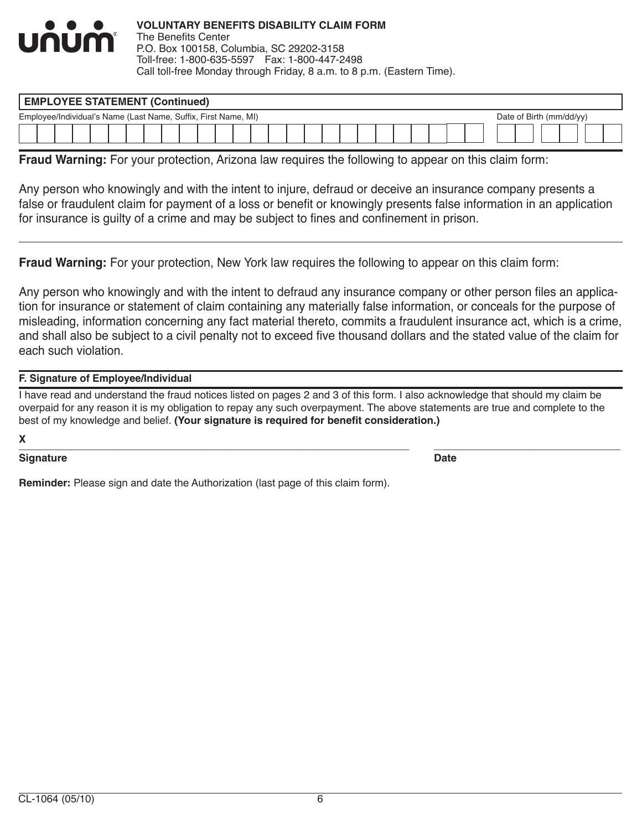

| <b>EMPLOYEE STATEMENT (Continued)</b>                          |  |  |  |  |  |  |  |  |  |  |  |  |  |  |                          |  |
|----------------------------------------------------------------|--|--|--|--|--|--|--|--|--|--|--|--|--|--|--------------------------|--|
| Employee/Individual's Name (Last Name, Suffix, First Name, MI) |  |  |  |  |  |  |  |  |  |  |  |  |  |  | Date of Birth (mm/dd/yy) |  |
|                                                                |  |  |  |  |  |  |  |  |  |  |  |  |  |  |                          |  |

**Fraud Warning:** For your protection, Arizona law requires the following to appear on this claim form:

Any person who knowingly and with the intent to injure, defraud or deceive an insurance company presents a false or fraudulent claim for payment of a loss or benefit or knowingly presents false information in an application for insurance is guilty of a crime and may be subject to fines and confinement in prison.

**Fraud Warning:** For your protection, New York law requires the following to appear on this claim form:

Any person who knowingly and with the intent to defraud any insurance company or other person files an application for insurance or statement of claim containing any materially false information, or conceals for the purpose of misleading, information concerning any fact material thereto, commits a fraudulent insurance act, which is a crime, and shall also be subject to a civil penalty not to exceed five thousand dollars and the stated value of the claim for each such violation.

## **F. Signature of Employee/Individual**

I have read and understand the fraud notices listed on pages 2 and 3 of this form. I also acknowledge that should my claim be overpaid for any reason it is my obligation to repay any such overpayment. The above statements are true and complete to the best of my knowledge and belief. **(Your signature is required for benefit consideration.)**

**X**

#### $\bm{X}$  , and the contribution of the contribution of the contribution of the contribution of the contribution of the contribution of the contribution of the contribution of the contribution of the contribution of the con **Signature Date**

**Reminder:** Please sign and date the Authorization (last page of this claim form).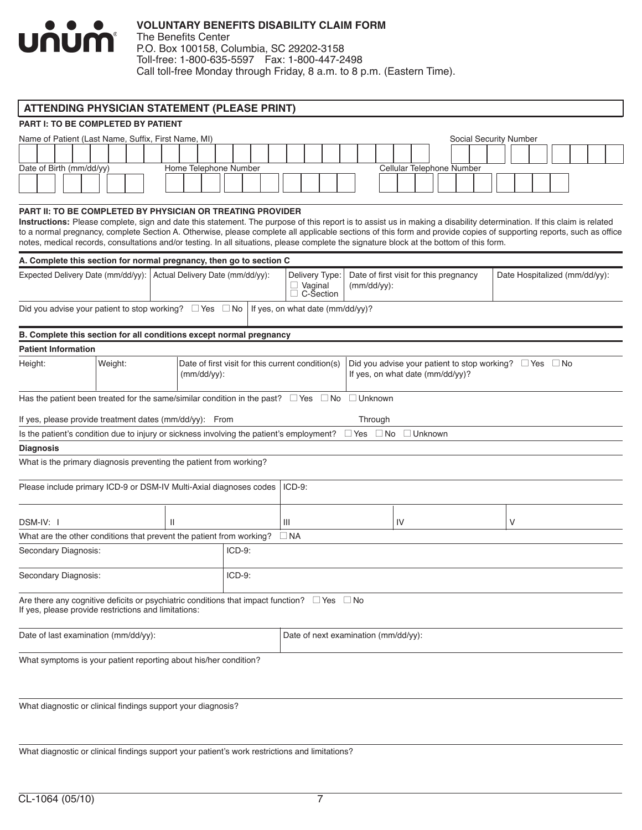

The Benefits Center P.O. Box 100158, Columbia, SC 29202-3158 Toll-free: 1-800-635-5597 Fax: 1-800-447-2498 Call toll-free Monday through Friday, 8 a.m. to 8 p.m. (Eastern Time).

| <b>ATTENDING PHYSICIAN STATEMENT (PLEASE PRINT)</b>                                                                                                                                                                                                                                                                                                                                                                                                                                                                                                     |         |                                  |                                                                     |          |                                  |                                      |                |                             |                                                                                                       |           |    |                           |  |                        |   |  |  |                               |  |
|---------------------------------------------------------------------------------------------------------------------------------------------------------------------------------------------------------------------------------------------------------------------------------------------------------------------------------------------------------------------------------------------------------------------------------------------------------------------------------------------------------------------------------------------------------|---------|----------------------------------|---------------------------------------------------------------------|----------|----------------------------------|--------------------------------------|----------------|-----------------------------|-------------------------------------------------------------------------------------------------------|-----------|----|---------------------------|--|------------------------|---|--|--|-------------------------------|--|
| <b>PART I: TO BE COMPLETED BY PATIENT</b>                                                                                                                                                                                                                                                                                                                                                                                                                                                                                                               |         |                                  |                                                                     |          |                                  |                                      |                |                             |                                                                                                       |           |    |                           |  |                        |   |  |  |                               |  |
| Name of Patient (Last Name, Suffix, First Name, MI)                                                                                                                                                                                                                                                                                                                                                                                                                                                                                                     |         |                                  |                                                                     |          |                                  |                                      |                |                             |                                                                                                       |           |    |                           |  |                        |   |  |  |                               |  |
|                                                                                                                                                                                                                                                                                                                                                                                                                                                                                                                                                         |         |                                  |                                                                     |          |                                  |                                      |                |                             |                                                                                                       |           |    |                           |  | Social Security Number |   |  |  |                               |  |
|                                                                                                                                                                                                                                                                                                                                                                                                                                                                                                                                                         |         |                                  |                                                                     |          |                                  |                                      |                |                             |                                                                                                       |           |    |                           |  |                        |   |  |  |                               |  |
| Date of Birth (mm/dd/yy)                                                                                                                                                                                                                                                                                                                                                                                                                                                                                                                                |         | Home Telephone Number            |                                                                     |          |                                  |                                      |                |                             |                                                                                                       |           |    | Cellular Telephone Number |  |                        |   |  |  |                               |  |
|                                                                                                                                                                                                                                                                                                                                                                                                                                                                                                                                                         |         |                                  |                                                                     |          |                                  |                                      |                |                             |                                                                                                       |           |    |                           |  |                        |   |  |  |                               |  |
| PART II: TO BE COMPLETED BY PHYSICIAN OR TREATING PROVIDER<br>Instructions: Please complete, sign and date this statement. The purpose of this report is to assist us in making a disability determination. If this claim is related<br>to a normal pregnancy, complete Section A. Otherwise, please complete all applicable sections of this form and provide copies of supporting reports, such as office<br>notes, medical records, consultations and/or testing. In all situations, please complete the signature block at the bottom of this form. |         |                                  |                                                                     |          |                                  |                                      |                |                             |                                                                                                       |           |    |                           |  |                        |   |  |  |                               |  |
| A. Complete this section for normal pregnancy, then go to section C                                                                                                                                                                                                                                                                                                                                                                                                                                                                                     |         |                                  |                                                                     |          |                                  |                                      |                |                             |                                                                                                       |           |    |                           |  |                        |   |  |  |                               |  |
| Expected Delivery Date (mm/dd/yy):                                                                                                                                                                                                                                                                                                                                                                                                                                                                                                                      |         | Actual Delivery Date (mm/dd/yy): |                                                                     |          |                                  |                                      | $\Box$ Vaginal | Delivery Type:<br>C-Section | Date of first visit for this pregnancy<br>$(mm/dd/yy)$ :                                              |           |    |                           |  |                        |   |  |  | Date Hospitalized (mm/dd/yy): |  |
| Did you advise your patient to stop working? $\Box$ Yes $\Box$ No                                                                                                                                                                                                                                                                                                                                                                                                                                                                                       |         |                                  |                                                                     |          | If yes, on what date (mm/dd/yy)? |                                      |                |                             |                                                                                                       |           |    |                           |  |                        |   |  |  |                               |  |
| B. Complete this section for all conditions except normal pregnancy                                                                                                                                                                                                                                                                                                                                                                                                                                                                                     |         |                                  |                                                                     |          |                                  |                                      |                |                             |                                                                                                       |           |    |                           |  |                        |   |  |  |                               |  |
| <b>Patient Information</b>                                                                                                                                                                                                                                                                                                                                                                                                                                                                                                                              |         |                                  |                                                                     |          |                                  |                                      |                |                             |                                                                                                       |           |    |                           |  |                        |   |  |  |                               |  |
| Height:                                                                                                                                                                                                                                                                                                                                                                                                                                                                                                                                                 | Weight: |                                  | Date of first visit for this current condition(s)<br>$(mm/dd/yy)$ : |          |                                  |                                      |                |                             | Did you advise your patient to stop working? $\Box$ Yes $\Box$ No<br>If yes, on what date (mm/dd/yy)? |           |    |                           |  |                        |   |  |  |                               |  |
| Has the patient been treated for the same/similar condition in the past? $\Box$ Yes $\Box$ No                                                                                                                                                                                                                                                                                                                                                                                                                                                           |         |                                  |                                                                     |          |                                  |                                      |                |                             | $\Box$ Unknown                                                                                        |           |    |                           |  |                        |   |  |  |                               |  |
| If yes, please provide treatment dates (mm/dd/yy): From                                                                                                                                                                                                                                                                                                                                                                                                                                                                                                 |         |                                  |                                                                     |          |                                  |                                      |                |                             | Through                                                                                               |           |    |                           |  |                        |   |  |  |                               |  |
| Is the patient's condition due to injury or sickness involving the patient's employment?                                                                                                                                                                                                                                                                                                                                                                                                                                                                |         |                                  |                                                                     |          |                                  |                                      |                |                             | $\Box$ Yes                                                                                            | $\Box$ No |    | $\Box$ Unknown            |  |                        |   |  |  |                               |  |
| <b>Diagnosis</b>                                                                                                                                                                                                                                                                                                                                                                                                                                                                                                                                        |         |                                  |                                                                     |          |                                  |                                      |                |                             |                                                                                                       |           |    |                           |  |                        |   |  |  |                               |  |
| What is the primary diagnosis preventing the patient from working?                                                                                                                                                                                                                                                                                                                                                                                                                                                                                      |         |                                  |                                                                     |          |                                  |                                      |                |                             |                                                                                                       |           |    |                           |  |                        |   |  |  |                               |  |
| Please include primary ICD-9 or DSM-IV Multi-Axial diagnoses codes                                                                                                                                                                                                                                                                                                                                                                                                                                                                                      |         |                                  |                                                                     |          |                                  | $ICD-9:$                             |                |                             |                                                                                                       |           |    |                           |  |                        |   |  |  |                               |  |
| DSM-IV: I                                                                                                                                                                                                                                                                                                                                                                                                                                                                                                                                               |         | Ш                                |                                                                     |          |                                  | Ш                                    |                |                             |                                                                                                       |           | IV |                           |  |                        | V |  |  |                               |  |
| What are the other conditions that prevent the patient from working?                                                                                                                                                                                                                                                                                                                                                                                                                                                                                    |         |                                  |                                                                     |          |                                  | $\Box$ NA                            |                |                             |                                                                                                       |           |    |                           |  |                        |   |  |  |                               |  |
| Secondary Diagnosis:                                                                                                                                                                                                                                                                                                                                                                                                                                                                                                                                    |         |                                  |                                                                     | $ICD-9:$ |                                  |                                      |                |                             |                                                                                                       |           |    |                           |  |                        |   |  |  |                               |  |
| Secondary Diagnosis:                                                                                                                                                                                                                                                                                                                                                                                                                                                                                                                                    |         |                                  |                                                                     | $ICD-9:$ |                                  |                                      |                |                             |                                                                                                       |           |    |                           |  |                        |   |  |  |                               |  |
| Are there any cognitive deficits or psychiatric conditions that impact function? $\Box$ Yes $\Box$ No<br>If yes, please provide restrictions and limitations:                                                                                                                                                                                                                                                                                                                                                                                           |         |                                  |                                                                     |          |                                  |                                      |                |                             |                                                                                                       |           |    |                           |  |                        |   |  |  |                               |  |
| Date of last examination (mm/dd/yy):                                                                                                                                                                                                                                                                                                                                                                                                                                                                                                                    |         |                                  |                                                                     |          |                                  | Date of next examination (mm/dd/yy): |                |                             |                                                                                                       |           |    |                           |  |                        |   |  |  |                               |  |
| What symptoms is your patient reporting about his/her condition?                                                                                                                                                                                                                                                                                                                                                                                                                                                                                        |         |                                  |                                                                     |          |                                  |                                      |                |                             |                                                                                                       |           |    |                           |  |                        |   |  |  |                               |  |

What diagnostic or clinical findings support your diagnosis?

What diagnostic or clinical findings support your patient's work restrictions and limitations?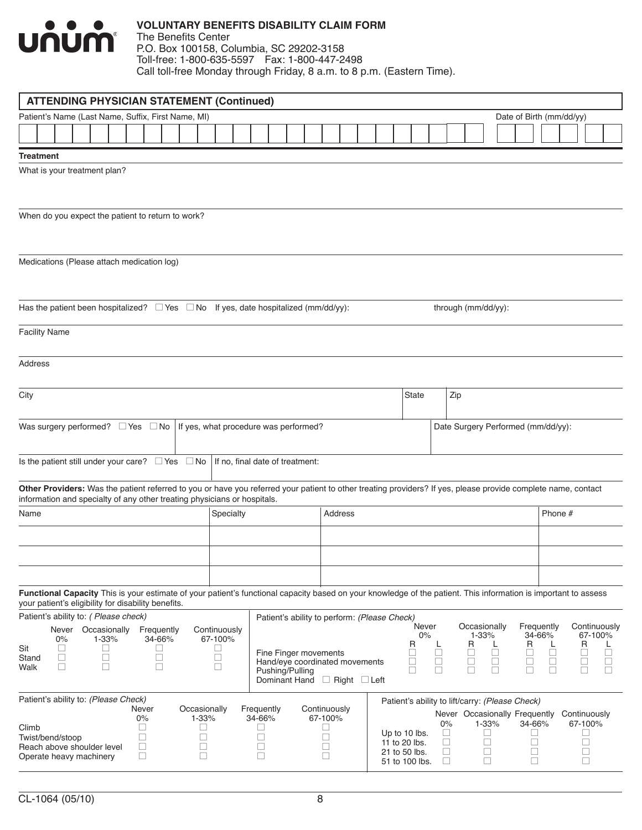

#### **VOLUNTARY BENEFITS DISABILITY CLAIM FORM** The Benefits Center

P.O. Box 100158, Columbia, SC 29202-3158 Toll-free: 1-800-635-5597 Fax: 1-800-447-2498 Call toll-free Monday through Friday, 8 a.m. to 8 p.m. (Eastern Time).

|                      | <b>ATTENDING PHYSICIAN STATEMENT (Continued)</b>           |              |             |       |  |                  |        |            |             |                  |           |  |                                                                                                                                                                 |  |                  |                          |  |  |             |                                 |                  |                  |             |            |                     |                                                 |        |                  |              |              |                  |  |
|----------------------|------------------------------------------------------------|--------------|-------------|-------|--|------------------|--------|------------|-------------|------------------|-----------|--|-----------------------------------------------------------------------------------------------------------------------------------------------------------------|--|------------------|--------------------------|--|--|-------------|---------------------------------|------------------|------------------|-------------|------------|---------------------|-------------------------------------------------|--------|------------------|--------------|--------------|------------------|--|
|                      | Patient's Name (Last Name, Suffix, First Name, MI)         |              |             |       |  |                  |        |            |             |                  |           |  |                                                                                                                                                                 |  |                  |                          |  |  |             |                                 |                  |                  |             |            |                     | Date of Birth (mm/dd/yy)                        |        |                  |              |              |                  |  |
|                      |                                                            |              |             |       |  |                  |        |            |             |                  |           |  |                                                                                                                                                                 |  |                  |                          |  |  |             |                                 |                  |                  |             |            |                     |                                                 |        |                  |              |              |                  |  |
|                      |                                                            |              |             |       |  |                  |        |            |             |                  |           |  |                                                                                                                                                                 |  |                  |                          |  |  |             |                                 |                  |                  |             |            |                     |                                                 |        |                  |              |              |                  |  |
| <b>Treatment</b>     |                                                            |              |             |       |  |                  |        |            |             |                  |           |  |                                                                                                                                                                 |  |                  |                          |  |  |             |                                 |                  |                  |             |            |                     |                                                 |        |                  |              |              |                  |  |
|                      | What is your treatment plan?                               |              |             |       |  |                  |        |            |             |                  |           |  |                                                                                                                                                                 |  |                  |                          |  |  |             |                                 |                  |                  |             |            |                     |                                                 |        |                  |              |              |                  |  |
|                      |                                                            |              |             |       |  |                  |        |            |             |                  |           |  |                                                                                                                                                                 |  |                  |                          |  |  |             |                                 |                  |                  |             |            |                     |                                                 |        |                  |              |              |                  |  |
|                      |                                                            |              |             |       |  |                  |        |            |             |                  |           |  |                                                                                                                                                                 |  |                  |                          |  |  |             |                                 |                  |                  |             |            |                     |                                                 |        |                  |              |              |                  |  |
|                      | When do you expect the patient to return to work?          |              |             |       |  |                  |        |            |             |                  |           |  |                                                                                                                                                                 |  |                  |                          |  |  |             |                                 |                  |                  |             |            |                     |                                                 |        |                  |              |              |                  |  |
|                      |                                                            |              |             |       |  |                  |        |            |             |                  |           |  |                                                                                                                                                                 |  |                  |                          |  |  |             |                                 |                  |                  |             |            |                     |                                                 |        |                  |              |              |                  |  |
|                      |                                                            |              |             |       |  |                  |        |            |             |                  |           |  |                                                                                                                                                                 |  |                  |                          |  |  |             |                                 |                  |                  |             |            |                     |                                                 |        |                  |              |              |                  |  |
|                      | Medications (Please attach medication log)                 |              |             |       |  |                  |        |            |             |                  |           |  |                                                                                                                                                                 |  |                  |                          |  |  |             |                                 |                  |                  |             |            |                     |                                                 |        |                  |              |              |                  |  |
|                      |                                                            |              |             |       |  |                  |        |            |             |                  |           |  |                                                                                                                                                                 |  |                  |                          |  |  |             |                                 |                  |                  |             |            |                     |                                                 |        |                  |              |              |                  |  |
|                      |                                                            |              |             |       |  |                  |        |            |             |                  |           |  |                                                                                                                                                                 |  |                  |                          |  |  |             |                                 |                  |                  |             |            |                     |                                                 |        |                  |              |              |                  |  |
|                      |                                                            |              |             |       |  |                  |        |            |             |                  |           |  | Has the patient been hospitalized? $\square$ Yes $\square$ No If yes, date hospitalized (mm/dd/yy):                                                             |  |                  |                          |  |  |             |                                 |                  |                  |             |            | through (mm/dd/yy): |                                                 |        |                  |              |              |                  |  |
| <b>Facility Name</b> |                                                            |              |             |       |  |                  |        |            |             |                  |           |  |                                                                                                                                                                 |  |                  |                          |  |  |             |                                 |                  |                  |             |            |                     |                                                 |        |                  |              |              |                  |  |
|                      |                                                            |              |             |       |  |                  |        |            |             |                  |           |  |                                                                                                                                                                 |  |                  |                          |  |  |             |                                 |                  |                  |             |            |                     |                                                 |        |                  |              |              |                  |  |
| <b>Address</b>       |                                                            |              |             |       |  |                  |        |            |             |                  |           |  |                                                                                                                                                                 |  |                  |                          |  |  |             |                                 |                  |                  |             |            |                     |                                                 |        |                  |              |              |                  |  |
|                      |                                                            |              |             |       |  |                  |        |            |             |                  |           |  |                                                                                                                                                                 |  |                  |                          |  |  |             |                                 |                  |                  |             |            |                     |                                                 |        |                  |              |              |                  |  |
| City                 |                                                            |              |             |       |  |                  |        |            |             |                  |           |  |                                                                                                                                                                 |  |                  |                          |  |  |             | <b>State</b>                    |                  | Zip              |             |            |                     |                                                 |        |                  |              |              |                  |  |
|                      |                                                            |              |             |       |  |                  |        |            |             |                  |           |  |                                                                                                                                                                 |  |                  |                          |  |  |             |                                 |                  |                  |             |            |                     |                                                 |        |                  |              |              |                  |  |
|                      | Was surgery performed? $\Box$ Yes $\Box$ No                |              |             |       |  |                  |        |            |             |                  |           |  | If yes, what procedure was performed?                                                                                                                           |  |                  |                          |  |  |             |                                 |                  |                  |             |            |                     | Date Surgery Performed (mm/dd/yy):              |        |                  |              |              |                  |  |
|                      |                                                            |              |             |       |  |                  |        |            |             |                  |           |  |                                                                                                                                                                 |  |                  |                          |  |  |             |                                 |                  |                  |             |            |                     |                                                 |        |                  |              |              |                  |  |
|                      |                                                            |              |             |       |  |                  |        |            |             |                  |           |  |                                                                                                                                                                 |  |                  |                          |  |  |             |                                 |                  |                  |             |            |                     |                                                 |        |                  |              |              |                  |  |
|                      | Is the patient still under your care? $\Box$ Yes $\Box$ No |              |             |       |  |                  |        |            |             |                  |           |  | If no, final date of treatment:                                                                                                                                 |  |                  |                          |  |  |             |                                 |                  |                  |             |            |                     |                                                 |        |                  |              |              |                  |  |
|                      |                                                            |              |             |       |  |                  |        |            |             |                  |           |  | Other Providers: Was the patient referred to you or have you referred your patient to other treating providers? If yes, please provide complete name, contact   |  |                  |                          |  |  |             |                                 |                  |                  |             |            |                     |                                                 |        |                  |              |              |                  |  |
|                      |                                                            |              |             |       |  |                  |        |            |             |                  |           |  | information and specialty of any other treating physicians or hospitals.                                                                                        |  |                  |                          |  |  |             |                                 |                  |                  |             |            |                     |                                                 |        |                  |              |              |                  |  |
| Name                 |                                                            |              |             |       |  |                  |        |            |             |                  | Specialty |  |                                                                                                                                                                 |  |                  | <b>Address</b>           |  |  |             |                                 |                  |                  |             |            |                     |                                                 |        | Phone #          |              |              |                  |  |
|                      |                                                            |              |             |       |  |                  |        |            |             |                  |           |  |                                                                                                                                                                 |  |                  |                          |  |  |             |                                 |                  |                  |             |            |                     |                                                 |        |                  |              |              |                  |  |
|                      |                                                            |              |             |       |  |                  |        |            |             |                  |           |  |                                                                                                                                                                 |  |                  |                          |  |  |             |                                 |                  |                  |             |            |                     |                                                 |        |                  |              |              |                  |  |
|                      |                                                            |              |             |       |  |                  |        |            |             |                  |           |  |                                                                                                                                                                 |  |                  |                          |  |  |             |                                 |                  |                  |             |            |                     |                                                 |        |                  |              |              |                  |  |
|                      |                                                            |              |             |       |  |                  |        |            |             |                  |           |  |                                                                                                                                                                 |  |                  |                          |  |  |             |                                 |                  |                  |             |            |                     |                                                 |        |                  |              |              |                  |  |
|                      |                                                            |              |             |       |  |                  |        |            |             |                  |           |  | Functional Capacity This is your estimate of your patient's functional capacity based on your knowledge of the patient. This information is important to assess |  |                  |                          |  |  |             |                                 |                  |                  |             |            |                     |                                                 |        |                  |              |              |                  |  |
|                      | your patient's eligibility for disability benefits.        |              |             |       |  |                  |        |            |             |                  |           |  |                                                                                                                                                                 |  |                  |                          |  |  |             |                                 |                  |                  |             |            |                     |                                                 |        |                  |              |              |                  |  |
|                      | Patient's ability to: (Please check)<br>Never              | Occasionally |             |       |  |                  |        | Frequently |             | Continuously     |           |  | Patient's ability to perform: (Please Check)                                                                                                                    |  |                  |                          |  |  |             | Never                           |                  |                  |             |            | Occasionally        | Frequently                                      |        |                  |              |              | Continuously     |  |
|                      | 0%                                                         |              |             | 1-33% |  |                  |        | 34-66%     |             | 67-100%          |           |  |                                                                                                                                                                 |  |                  |                          |  |  |             | 0%<br>R                         |                  |                  | R           | 1-33%      |                     | R                                               | 34-66% |                  |              | R            | 67-100%          |  |
| Sit<br>Stand         | ⊔<br>□                                                     |              | ⊔<br>$\Box$ |       |  |                  | ∟<br>Ш |            |             | $\Box$<br>$\Box$ |           |  | Fine Finger movements                                                                                                                                           |  |                  |                          |  |  | Г           |                                 | $\frac{L}{\Box}$ |                  | $\Box$      |            | $\frac{L}{\Box}$    | $\Box$                                          |        | $\frac{L}{\Box}$ |              | $\Box$       | $\frac{L}{\Box}$ |  |
| Walk                 | □                                                          |              | П           |       |  |                  | □      |            |             | □                |           |  | Hand/eye coordinated movements<br>Pushing/Pulling                                                                                                               |  |                  |                          |  |  | $\Box$<br>П |                                 | $\Box$<br>$\Box$ |                  | $\Box$<br>П |            | $\Box$<br>$\Box$    | $\Box$<br>П                                     |        | $\Box$<br>$\Box$ |              | $\Box$<br>П  | $\Box$<br>$\Box$ |  |
|                      |                                                            |              |             |       |  |                  |        |            |             |                  |           |  | Dominant Hand                                                                                                                                                   |  |                  | $\Box$ Right $\Box$ Left |  |  |             |                                 |                  |                  |             |            |                     |                                                 |        |                  |              |              |                  |  |
|                      | Patient's ability to: (Please Check)                       |              |             |       |  |                  |        |            |             |                  |           |  |                                                                                                                                                                 |  |                  |                          |  |  |             |                                 |                  |                  |             |            |                     | Patient's ability to lift/carry: (Please Check) |        |                  |              |              |                  |  |
|                      |                                                            |              |             |       |  | Never<br>0%      |        |            | 1-33%       | Occasionally     |           |  | Frequently<br>34-66%                                                                                                                                            |  | 67-100%          | Continuously             |  |  |             |                                 |                  |                  |             |            |                     | Never Occasionally Frequently                   |        |                  | Continuously |              |                  |  |
| Climb                |                                                            |              |             |       |  | □                |        |            | ∟           |                  |           |  | $\Box$                                                                                                                                                          |  | П                |                          |  |  |             | Up to 10 lbs.                   |                  | 0%<br>$\Box$     |             | 1-33%<br>Ш |                     | 34-66%<br>$\Box$                                |        |                  |              | 67-100%<br>⊔ |                  |  |
|                      | Twist/bend/stoop<br>Reach above shoulder level             |              |             |       |  | $\Box$<br>$\Box$ |        |            | $\Box$<br>□ |                  |           |  | $\Box$<br>$\Box$                                                                                                                                                |  | $\Box$<br>$\Box$ |                          |  |  |             | 11 to 20 lbs.                   |                  | $\Box$           |             | □          |                     | $\Box$                                          |        |                  |              | □            |                  |  |
|                      | Operate heavy machinery                                    |              |             |       |  | $\Box$           |        |            | П           |                  |           |  | $\Box$                                                                                                                                                          |  | $\Box$           |                          |  |  |             | 21 to 50 lbs.<br>51 to 100 lbs. |                  | $\Box$<br>$\Box$ |             | □<br>□     |                     | $\Box$<br>$\Box$                                |        |                  |              | □<br>$\Box$  |                  |  |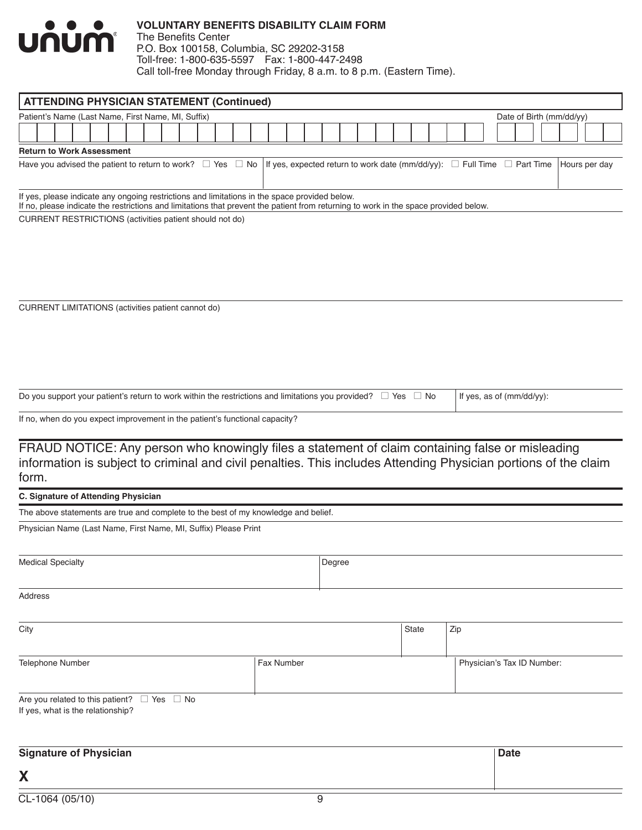

## **VOLUNTARY BENEFITS DISABILITY CLAIM FORM** The Benefits Center

P.O. Box 100158, Columbia, SC 29202-3158 Toll-free: 1-800-635-5597 Fax: 1-800-447-2498 Call toll-free Monday through Friday, 8 a.m. to 8 p.m. (Eastern Time).

| <b>ATTENDING PHYSICIAN STATEMENT (Continued)</b>                                                                                                                                                                                      |                          |               |
|---------------------------------------------------------------------------------------------------------------------------------------------------------------------------------------------------------------------------------------|--------------------------|---------------|
| Patient's Name (Last Name, First Name, MI, Suffix)                                                                                                                                                                                    | Date of Birth (mm/dd/yy) |               |
|                                                                                                                                                                                                                                       |                          |               |
| <b>Return to Work Assessment</b>                                                                                                                                                                                                      |                          |               |
| Have you advised the patient to return to work? $\Box$ Yes $\Box$ No  <br>If yes, expected return to work date (mm/dd/yy): $\square$ Full Time $\square$ Part Time                                                                    |                          | Hours per day |
| If yes, please indicate any ongoing restrictions and limitations in the space provided below.<br>If no, please indicate the restrictions and limitations that prevent the patient from returning to work in the space provided below. |                          |               |
| CURRENT RESTRICTIONS (activities patient should not do)                                                                                                                                                                               |                          |               |
|                                                                                                                                                                                                                                       |                          |               |
|                                                                                                                                                                                                                                       |                          |               |

CURRENT LIMITATIONS (activities patient cannot do)

| Do you support your patient's return to work within the restrictions and limitations you provided? $\Box$ Yes $\Box$ No   If yes, as of (mm/dd/yy): |  |
|-----------------------------------------------------------------------------------------------------------------------------------------------------|--|
|-----------------------------------------------------------------------------------------------------------------------------------------------------|--|

If no, when do you expect improvement in the patient's functional capacity?

FRAUD NOTICE: Any person who knowingly files a statement of claim containing false or misleading information is subject to criminal and civil penalties. This includes Attending Physician portions of the claim form.

#### **C. Signature of Attending Physician**

The above statements are true and complete to the best of my knowledge and belief.

Physician Name (Last Name, First Name, MI, Suffix) Please Print

| <b>Medical Specialty</b>                                                                   |            | Degree |       |                            |
|--------------------------------------------------------------------------------------------|------------|--------|-------|----------------------------|
| Address                                                                                    |            |        |       |                            |
| City                                                                                       |            |        | State | Zip                        |
| Telephone Number                                                                           | Fax Number |        |       | Physician's Tax ID Number: |
| Are you related to this patient? $\Box$ Yes $\Box$ No<br>If yes, what is the relationship? |            |        |       |                            |
| <b>Signature of Physician</b>                                                              |            |        |       | <b>Date</b>                |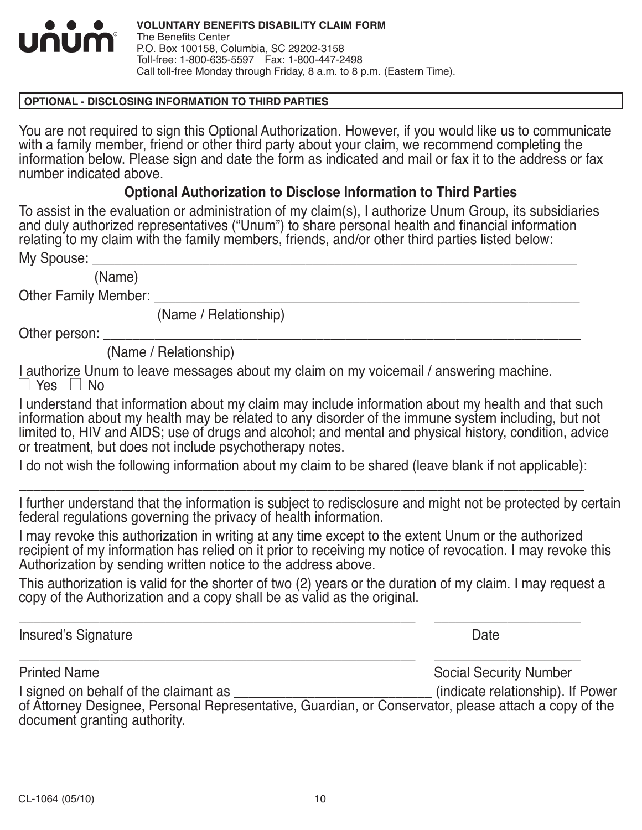

## **OPTIONAL - DISCLOSING INFORMATION TO THIRD PARTIES**

You are not required to sign this Optional Authorization. However, if you would like us to communicate with a family member, friend or other third party about your claim, we recommend completing the information below. Please sign and date the form as indicated and mail or fax it to the address or fax number indicated above.

# **Optional Authorization to Disclose Information to Third Parties**

To assist in the evaluation or administration of my claim(s), I authorize Unum Group, its subsidiaries and duly authorized representatives ("Unum") to share personal health and financial information relating to my claim with the family members, friends, and/or other third parties listed below:

My Spouse:

(Name)

Other Family Member:

(Name / Relationship)

Other person:

(Name / Relationship)

I authorize Unum to leave messages about my claim on my voicemail / answering machine.  $\Box$  Yes  $\Box$  No

I understand that information about my claim may include information about my health and that such information about my health may be related to any disorder of the immune system including, but not limited to, HIV and AIDS; use of drugs and alcohol; and mental and physical history, condition, advice or treatment, but does not include psychotherapy notes.

I do not wish the following information about my claim to be shared (leave blank if not applicable): \_\_\_\_\_\_\_\_\_\_\_\_\_\_\_\_\_\_\_\_\_\_\_\_\_\_\_\_\_\_\_\_\_\_\_\_\_\_\_\_\_\_\_\_\_\_\_\_\_\_\_\_\_\_\_\_\_\_\_\_\_\_\_\_\_\_\_\_\_\_\_\_\_\_\_\_\_

I further understand that the information is subject to redisclosure and might not be protected by certain federal regulations governing the privacy of health information.

I may revoke this authorization in writing at any time except to the extent Unum or the authorized recipient of my information has relied on it prior to receiving my notice of revocation. I may revoke this Authorization by sending written notice to the address above.

This authorization is valid for the shorter of two (2) years or the duration of my claim. I may request a copy of the Authorization and a copy shall be as valid as the original.

\_\_\_\_\_\_\_\_\_\_\_\_\_\_\_\_\_\_\_\_\_\_\_\_\_\_\_\_\_\_\_\_\_\_\_\_\_\_\_\_\_\_\_\_\_\_\_\_\_\_\_\_\_\_ \_\_\_\_\_\_\_\_\_\_\_\_\_\_\_\_\_\_\_\_

\_\_\_\_\_\_\_\_\_\_\_\_\_\_\_\_\_\_\_\_\_\_\_\_\_\_\_\_\_\_\_\_\_\_\_\_\_\_\_\_\_\_\_\_\_\_\_\_\_\_\_\_\_\_ \_\_\_\_\_\_\_\_\_\_\_\_\_\_\_\_\_\_\_\_

Insured's Signature Date

Printed Name **Social Security Number** Social Security Number

I signed on behalf of the claimant as  $\Box$  (indicate relationship). If Power

of Attorney Designee, Personal Representative, Guardian, or Conservator, please attach a copy of the document granting authority.